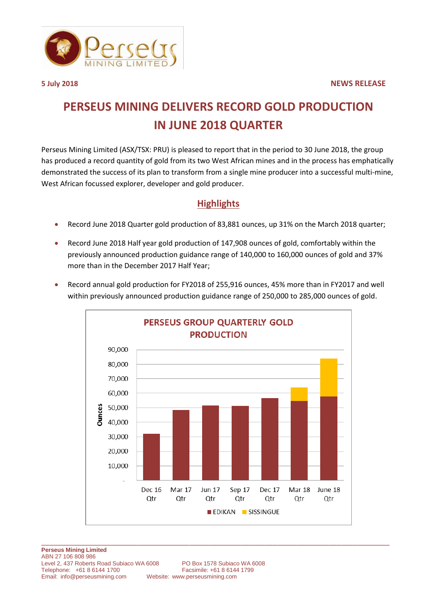

## **PERSEUS MINING DELIVERS RECORD GOLD PRODUCTION IN JUNE 2018 QUARTER**

Perseus Mining Limited (ASX/TSX: PRU) is pleased to report that in the period to 30 June 2018, the group has produced a record quantity of gold from its two West African mines and in the process has emphatically demonstrated the success of its plan to transform from a single mine producer into a successful multi-mine, West African focussed explorer, developer and gold producer.

## **Highlights**

- Record June 2018 Quarter gold production of 83,881 ounces, up 31% on the March 2018 quarter;
- Record June 2018 Half year gold production of 147,908 ounces of gold, comfortably within the previously announced production guidance range of 140,000 to 160,000 ounces of gold and 37% more than in the December 2017 Half Year;



 Record annual gold production for FY2018 of 255,916 ounces, 45% more than in FY2017 and well within previously announced production guidance range of 250,000 to 285,000 ounces of gold.

Website: [www.perseusmining.com](http://www.perseusmining.com/)

\_\_\_\_\_\_\_\_\_\_\_\_\_\_\_\_\_\_\_\_\_\_\_\_\_\_\_\_\_\_\_\_\_\_\_\_\_\_\_\_\_\_\_\_\_\_\_\_\_\_\_\_\_\_\_\_\_\_\_\_\_\_\_\_\_\_\_\_\_\_\_\_\_\_\_\_\_\_\_\_\_\_\_\_\_\_\_